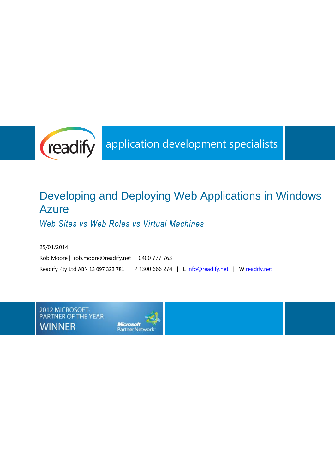

# Developing and Deploying Web Applications in Windows **Azure**

*Web Sites vs Web Roles vs Virtual Machines*

25/01/2014 Rob Moore | rob.moore@readify.net | 0400 777 763 Readify Pty Ltd ABN 13 097 323 781 | P 1300 666 274 | E [info@readify.net](mailto:info@readify.net) | W [readify.net](http://www.readify.net/)

2012 MICROSOFT<br>PARTNER OF THE YEAR **WINNER** 

Microsoft<br>PartnerNetwork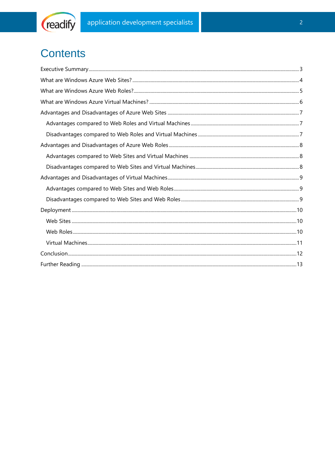

# **Contents**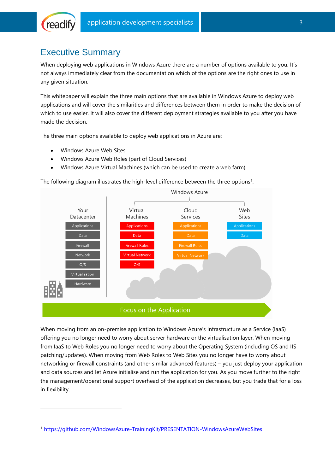

 $\overline{a}$ 

## <span id="page-2-0"></span>Executive Summary

When deploying web applications in Windows Azure there are a number of options available to you. It's not always immediately clear from the documentation which of the options are the right ones to use in any given situation.

This whitepaper will explain the three main options that are available in Windows Azure to deploy web applications and will cover the similarities and differences between them in order to make the decision of which to use easier. It will also cover the different deployment strategies available to you after you have made the decision.

The three main options available to deploy web applications in Azure are:

- Windows Azure Web Sites
- Windows Azure Web Roles (part of Cloud Services)
- Windows Azure Virtual Machines (which can be used to create a web farm)

The following diagram illustrates the high-level difference between the three options<sup>1</sup>:



When moving from an on-premise application to Windows Azure's Infrastructure as a Service (IaaS) offering you no longer need to worry about server hardware or the virtualisation layer. When moving from IaaS to Web Roles you no longer need to worry about the Operating System (including OS and IIS patching/updates). When moving from Web Roles to Web Sites you no longer have to worry about networking or firewall constraints (and other similar advanced features) – you just deploy your application and data sources and let Azure initialise and run the application for you. As you move further to the right the management/operational support overhead of the application decreases, but you trade that for a loss in flexibility.

<sup>1</sup> <https://github.com/WindowsAzure-TrainingKit/PRESENTATION-WindowsAzureWebSites>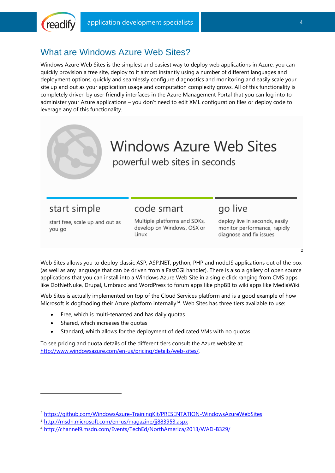

### <span id="page-3-0"></span>What are Windows Azure Web Sites?

Windows Azure Web Sites is the simplest and easiest way to deploy web applications in Azure; you can quickly provision a free site, deploy to it almost instantly using a number of different languages and deployment options, quickly and seamlessly configure diagnostics and monitoring and easily scale your site up and out as your application usage and computation complexity grows. All of this functionality is completely driven by user friendly interfaces in the Azure Management Portal that you can log into to administer your Azure applications – you don't need to edit XML configuration files or deploy code to leverage any of this functionality.



# start simple

-

code smart

## go live

start free, scale up and out as you go

Multiple platforms and SDKs, develop on Windows, OSX or Linux

deploy live in seconds, easily monitor performance, rapidly diagnose and fix issues

Web Sites allows you to deploy classic ASP, ASP.NET, python, PHP and nodeJS applications out of the box (as well as any language that can be driven from a FastCGI handler). There is also a gallery of open source applications that you can install into a Windows Azure Web Site in a single click ranging from CMS apps like DotNetNuke, Drupal, Umbraco and WordPress to forum apps like phpBB to wiki apps like MediaWiki.

Web Sites is actually implemented on top of the Cloud Services platform and is a good example of how Microsoft is dogfooding their Azure platform internally $34$ . Web Sites has three tiers available to use:

- Free, which is multi-tenanted and has daily quotas
- Shared, which increases the quotas
- Standard, which allows for the deployment of dedicated VMs with no quotas

To see pricing and quota details of the different tiers consult the Azure website at: [http://www.windowsazure.com/en-us/pricing/details/web-sites/.](http://www.windowsazure.com/en-us/pricing/details/web-sites/)

 $\overline{\phantom{0}}$ 

<sup>&</sup>lt;sup>2</sup> <https://github.com/WindowsAzure-TrainingKit/PRESENTATION-WindowsAzureWebSites>

<sup>3</sup> <http://msdn.microsoft.com/en-us/magazine/jj883953.aspx>

<sup>4</sup> <http://channel9.msdn.com/Events/TechEd/NorthAmerica/2013/WAD-B329/>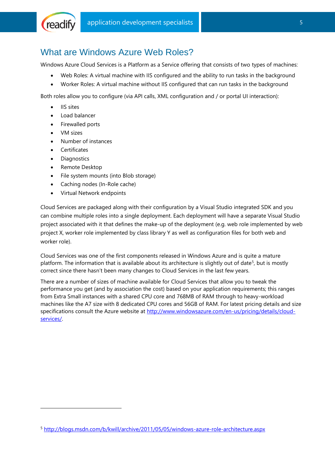

### <span id="page-4-0"></span>What are Windows Azure Web Roles?

Windows Azure Cloud Services is a Platform as a Service offering that consists of two types of machines:

- Web Roles: A virtual machine with IIS configured and the ability to run tasks in the background
- Worker Roles: A virtual machine without IIS configured that can run tasks in the background

Both roles allow you to configure (via API calls, XML configuration and / or portal UI interaction):

- IIS sites
- Load balancer
- Firewalled ports
- VM sizes
- Number of instances
- **•** Certificates
- Diagnostics

 $\overline{a}$ 

- Remote Desktop
- File system mounts (into Blob storage)
- Caching nodes (In-Role cache)
- Virtual Network endpoints

Cloud Services are packaged along with their configuration by a Visual Studio integrated SDK and you can combine multiple roles into a single deployment. Each deployment will have a separate Visual Studio project associated with it that defines the make-up of the deployment (e.g. web role implemented by web project X, worker role implemented by class library Y as well as configuration files for both web and worker role).

Cloud Services was one of the first components released in Windows Azure and is quite a mature platform. The information that is available about its architecture is slightly out of date<sup>5</sup>, but is mostly correct since there hasn't been many changes to Cloud Services in the last few years.

There are a number of sizes of machine available for Cloud Services that allow you to tweak the performance you get (and by association the cost) based on your application requirements; this ranges from Extra Small instances with a shared CPU core and 768MB of RAM through to heavy-workload machines like the A7 size with 8 dedicated CPU cores and 56GB of RAM. For latest pricing details and size specifications consult the Azure website at [http://www.windowsazure.com/en-us/pricing/details/cloud](http://www.windowsazure.com/en-us/pricing/details/cloud-services/)[services/.](http://www.windowsazure.com/en-us/pricing/details/cloud-services/)

<sup>5</sup> <http://blogs.msdn.com/b/kwill/archive/2011/05/05/windows-azure-role-architecture.aspx>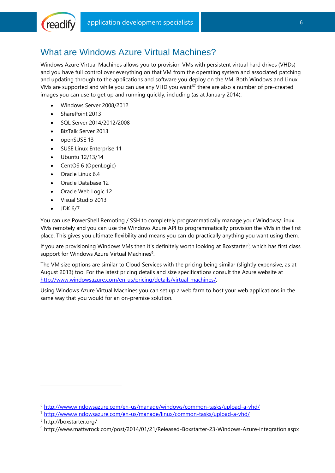# <span id="page-5-0"></span>What are Windows Azure Virtual Machines?

Windows Azure Virtual Machines allows you to provision VMs with persistent virtual hard drives (VHDs) and you have full control over everything on that VM from the operating system and associated patching and updating through to the applications and software you deploy on the VM. Both Windows and Linux VMs are supported and while you can use any VHD you want<sup>67</sup> there are also a number of pre-created images you can use to get up and running quickly, including (as at January 2014):

- Windows Server 2008/2012
- SharePoint 2013

(readify

- SQL Server 2014/2012/2008
- BizTalk Server 2013
- openSUSE 13
- SUSE Linux Enterprise 11
- Ubuntu 12/13/14
- CentOS 6 (OpenLogic)
- Oracle Linux 6.4
- Oracle Database 12
- Oracle Web Logic 12
- Visual Studio 2013
- $\bullet$  JDK 6/7

You can use PowerShell Remoting / SSH to completely programmatically manage your Windows/Linux VMs remotely and you can use the Windows Azure API to programmatically provision the VMs in the first place. This gives you ultimate flexibility and means you can do practically anything you want using them.

If you are provisioning Windows VMs then it's definitely worth looking at Boxstarter<sup>8</sup>, which has first class support for Windows Azure Virtual Machines<sup>9</sup>.

The VM size options are similar to Cloud Services with the pricing being similar (slightly expensive, as at August 2013) too. For the latest pricing details and size specifications consult the Azure website at [http://www.windowsazure.com/en-us/pricing/details/virtual-machines/.](http://www.windowsazure.com/en-us/pricing/details/virtual-machines/)

Using Windows Azure Virtual Machines you can set up a web farm to host your web applications in the same way that you would for an on-premise solution.

 $\overline{a}$ 

<sup>6</sup> <http://www.windowsazure.com/en-us/manage/windows/common-tasks/upload-a-vhd/>

<sup>7</sup> <http://www.windowsazure.com/en-us/manage/linux/common-tasks/upload-a-vhd/>

<sup>8</sup> http://boxstarter.org/

<sup>9</sup> http://www.mattwrock.com/post/2014/01/21/Released-Boxstarter-23-Windows-Azure-integration.aspx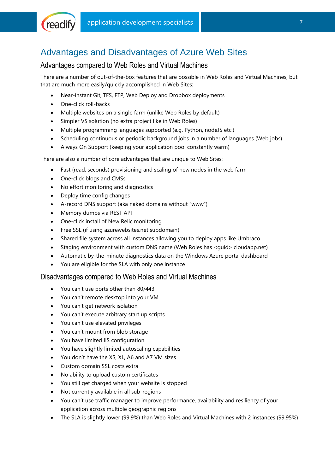

# <span id="page-6-0"></span>Advantages and Disadvantages of Azure Web Sites

#### <span id="page-6-1"></span>Advantages compared to Web Roles and Virtual Machines

There are a number of out-of-the-box features that are possible in Web Roles and Virtual Machines, but that are much more easily/quickly accomplished in Web Sites:

- Near-instant Git, TFS, FTP, Web Deploy and Dropbox deployments
- One-click roll-backs
- Multiple websites on a single farm (unlike Web Roles by default)
- Simpler VS solution (no extra project like in Web Roles)
- Multiple programming languages supported (e.g. Python, nodeJS etc.)
- Scheduling continuous or periodic background jobs in a number of languages (Web jobs)
- Always On Support (keeping your application pool constantly warm)

There are also a number of core advantages that are unique to Web Sites:

- Fast (read: seconds) provisioning and scaling of new nodes in the web farm
- One-click blogs and CMSs
- No effort monitoring and diagnostics
- Deploy time config changes
- A-record DNS support (aka naked domains without "www")
- Memory dumps via REST API
- One-click install of New Relic monitoring
- Free SSL (if using azurewebsites.net subdomain)
- Shared file system across all instances allowing you to deploy apps like Umbraco
- Staging environment with custom DNS name (Web Roles has <guid>.cloudapp.net)
- Automatic by-the-minute diagnostics data on the Windows Azure portal dashboard
- You are eligible for the SLA with only one instance

#### <span id="page-6-2"></span>Disadvantages compared to Web Roles and Virtual Machines

- You can't use ports other than 80/443
- You can't remote desktop into your VM
- You can't get network isolation
- You can't execute arbitrary start up scripts
- You can't use elevated privileges
- You can't mount from blob storage
- You have limited IIS configuration
- You have slightly limited autoscaling capabilities
- You don't have the XS, XL, A6 and A7 VM sizes
- Custom domain SSL costs extra
- No ability to upload custom certificates
- You still get charged when your website is stopped
- Not currently available in all sub-regions
- You can't use traffic manager to improve performance, availability and resiliency of your application across multiple geographic regions
- The SLA is slightly lower (99.9%) than Web Roles and Virtual Machines with 2 instances (99.95%)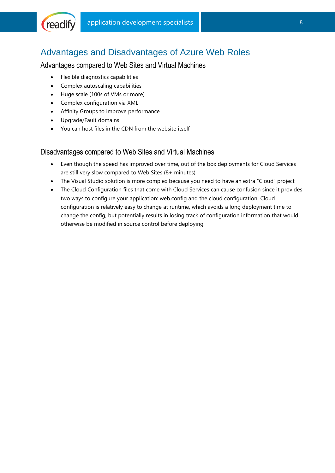

### <span id="page-7-0"></span>Advantages and Disadvantages of Azure Web Roles

#### <span id="page-7-1"></span>Advantages compared to Web Sites and Virtual Machines

- Flexible diagnostics capabilities
- Complex autoscaling capabilities
- Huge scale (100s of VMs or more)
- Complex configuration via XML
- Affinity Groups to improve performance
- Upgrade/Fault domains
- You can host files in the CDN from the website itself

#### <span id="page-7-2"></span>Disadvantages compared to Web Sites and Virtual Machines

- Even though the speed has improved over time, out of the box deployments for Cloud Services are still very slow compared to Web Sites (8+ minutes)
- The Visual Studio solution is more complex because you need to have an extra "Cloud" project
- The Cloud Configuration files that come with Cloud Services can cause confusion since it provides two ways to configure your application: web.config and the cloud configuration. Cloud configuration is relatively easy to change at runtime, which avoids a long deployment time to change the config, but potentially results in losing track of configuration information that would otherwise be modified in source control before deploying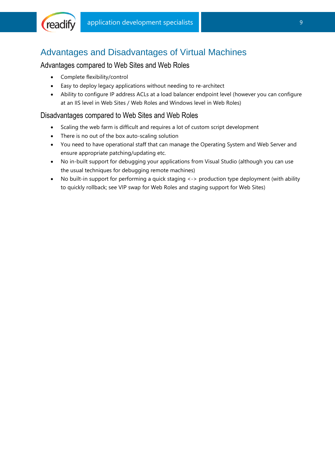

## <span id="page-8-0"></span>Advantages and Disadvantages of Virtual Machines

#### <span id="page-8-1"></span>Advantages compared to Web Sites and Web Roles

- Complete flexibility/control
- Easy to deploy legacy applications without needing to re-architect
- Ability to configure IP address ACLs at a load balancer endpoint level (however you can configure at an IIS level in Web Sites / Web Roles and Windows level in Web Roles)

#### <span id="page-8-2"></span>Disadvantages compared to Web Sites and Web Roles

- Scaling the web farm is difficult and requires a lot of custom script development
- There is no out of the box auto-scaling solution
- You need to have operational staff that can manage the Operating System and Web Server and ensure appropriate patching/updating etc.
- No in-built support for debugging your applications from Visual Studio (although you can use the usual techniques for debugging remote machines)
- No built-in support for performing a quick staging <-> production type deployment (with ability to quickly rollback; see VIP swap for Web Roles and staging support for Web Sites)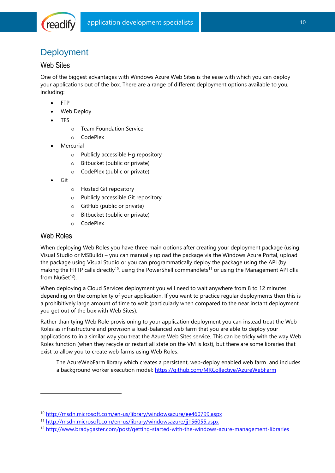

# <span id="page-9-0"></span>**Deployment**

#### <span id="page-9-1"></span>Web Sites

One of the biggest advantages with Windows Azure Web Sites is the ease with which you can deploy your applications out of the box. There are a range of different deployment options available to you, including:

- FTP
- Web Deploy
- TFS
	- o Team Foundation Service
	- o CodePlex
- Mercurial
	- o Publicly accessible Hg repository
	- o Bitbucket (public or private)
	- o CodePlex (public or private)
- Git
	- o Hosted Git repository
	- o Publicly accessible Git repository
	- o GitHub (public or private)
	- o Bitbucket (public or private)
	- o CodePlex

#### <span id="page-9-2"></span>Web Roles

-

When deploying Web Roles you have three main options after creating your deployment package (using Visual Studio or MSBuild) – you can manually upload the package via the Windows Azure Portal, upload the package using Visual Studio or you can programmatically deploy the package using the API (by making the HTTP calls directly<sup>10</sup>, using the PowerShell commandlets<sup>11</sup> or using the Management API dlls from  $NuGet^{12}$ ).

When deploying a Cloud Services deployment you will need to wait anywhere from 8 to 12 minutes depending on the complexity of your application. If you want to practice regular deployments then this is a prohibitively large amount of time to wait (particularly when compared to the near instant deployment you get out of the box with Web Sites).

Rather than tying Web Role provisioning to your application deployment you can instead treat the Web Roles as infrastructure and provision a load-balanced web farm that you are able to deploy your applications to in a similar way you treat the Azure Web Sites service. This can be tricky with the way Web Roles function (when they recycle or restart all state on the VM is lost), but there are some libraries that exist to allow you to create web farms using Web Roles:

The AzureWebFarm library which creates a persistent, web-deploy enabled web farm and includes a background worker execution model:<https://github.com/MRCollective/AzureWebFarm>

<sup>10</sup> <http://msdn.microsoft.com/en-us/library/windowsazure/ee460799.aspx>

<sup>11</sup> <http://msdn.microsoft.com/en-us/library/windowsazure/jj156055.aspx>

<sup>12</sup> <http://www.bradygaster.com/post/getting-started-with-the-windows-azure-management-libraries>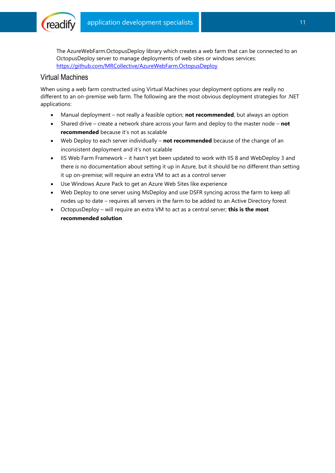

The AzureWebFarm.OctopusDeploy library which creates a web farm that can be connected to an OctopusDeploy server to manage deployments of web sites or windows services: <https://github.com/MRCollective/AzureWebFarm.OctopusDeploy>

#### <span id="page-10-0"></span>Virtual Machines

When using a web farm constructed using Virtual Machines your deployment options are really no different to an on-premise web farm. The following are the most obvious deployment strategies for .NET applications:

- Manual deployment not really a feasible option; **not recommended**, but always an option
- Shared drive create a network share across your farm and deploy to the master node **not recommended** because it's not as scalable
- Web Deploy to each server individually **not recommended** because of the change of an inconsistent deployment and it's not scalable
- IIS Web Farm Framework it hasn't yet been updated to work with IIS 8 and WebDeploy 3 and there is no documentation about setting it up in Azure, but it should be no different than setting it up on-premise; will require an extra VM to act as a control server
- Use Windows Azure Pack to get an Azure Web Sites like experience
- Web Deploy to one server using MsDeploy and use DSFR syncing across the farm to keep all nodes up to date – requires all servers in the farm to be added to an Active Directory forest
- OctopusDeploy will require an extra VM to act as a central server; **this is the most recommended solution**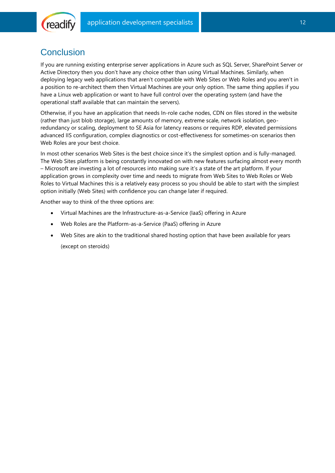

### <span id="page-11-0"></span>**Conclusion**

If you are running existing enterprise server applications in Azure such as SQL Server, SharePoint Server or Active Directory then you don't have any choice other than using Virtual Machines. Similarly, when deploying legacy web applications that aren't compatible with Web Sites or Web Roles and you aren't in a position to re-architect them then Virtual Machines are your only option. The same thing applies if you have a Linux web application or want to have full control over the operating system (and have the operational staff available that can maintain the servers).

Otherwise, if you have an application that needs In-role cache nodes, CDN on files stored in the website (rather than just blob storage), large amounts of memory, extreme scale, network isolation, georedundancy or scaling, deployment to SE Asia for latency reasons or requires RDP, elevated permissions advanced IIS configuration, complex diagnostics or cost-effectiveness for sometimes-on scenarios then Web Roles are your best choice.

In most other scenarios Web Sites is the best choice since it's the simplest option and is fully-managed. The Web Sites platform is being constantly innovated on with new features surfacing almost every month – Microsoft are investing a lot of resources into making sure it's a state of the art platform. If your application grows in complexity over time and needs to migrate from Web Sites to Web Roles or Web Roles to Virtual Machines this is a relatively easy process so you should be able to start with the simplest option initially (Web Sites) with confidence you can change later if required.

Another way to think of the three options are:

- Virtual Machines are the Infrastructure-as-a-Service (IaaS) offering in Azure
- Web Roles are the Platform-as-a-Service (PaaS) offering in Azure
- Web Sites are akin to the traditional shared hosting option that have been available for years

(except on steroids)